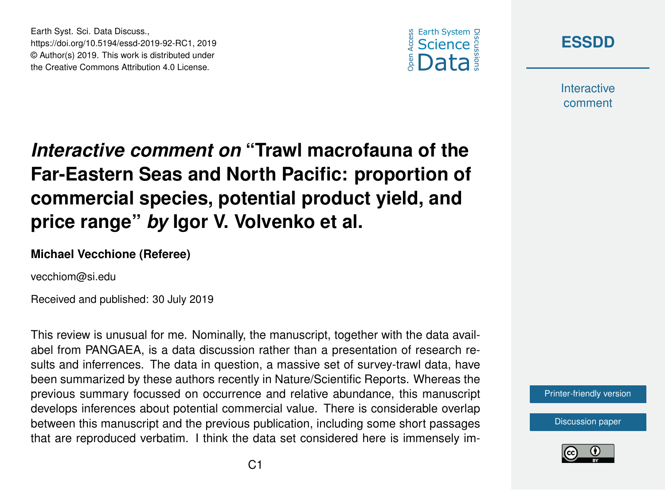



**Interactive** comment

## *Interactive comment on* **"Trawl macrofauna of the Far-Eastern Seas and North Pacific: proportion of commercial species, potential product yield, and price range"** *by* **Igor V. Volvenko et al.**

## **Michael Vecchione (Referee)**

Earth Syst. Sci. Data Discuss.,

https://doi.org/10.5194/essd-2019-92-RC1, 2019 © Author(s) 2019. This work is distributed under the Creative Commons Attribution 4.0 License.

vecchiom@si.edu

Received and published: 30 July 2019

This review is unusual for me. Nominally, the manuscript, together with the data availabel from PANGAEA, is a data discussion rather than a presentation of research results and inferrences. The data in question, a massive set of survey-trawl data, have been summarized by these authors recently in Nature/Scientific Reports. Whereas the previous summary focussed on occurrence and relative abundance, this manuscript develops inferences about potential commercial value. There is considerable overlap between this manuscript and the previous publication, including some short passages that are reproduced verbatim. I think the data set considered here is immensely im-

[Printer-friendly version](https://www.earth-syst-sci-data-discuss.net/essd-2019-92/essd-2019-92-RC1-print.pdf)

[Discussion paper](https://www.earth-syst-sci-data-discuss.net/essd-2019-92)